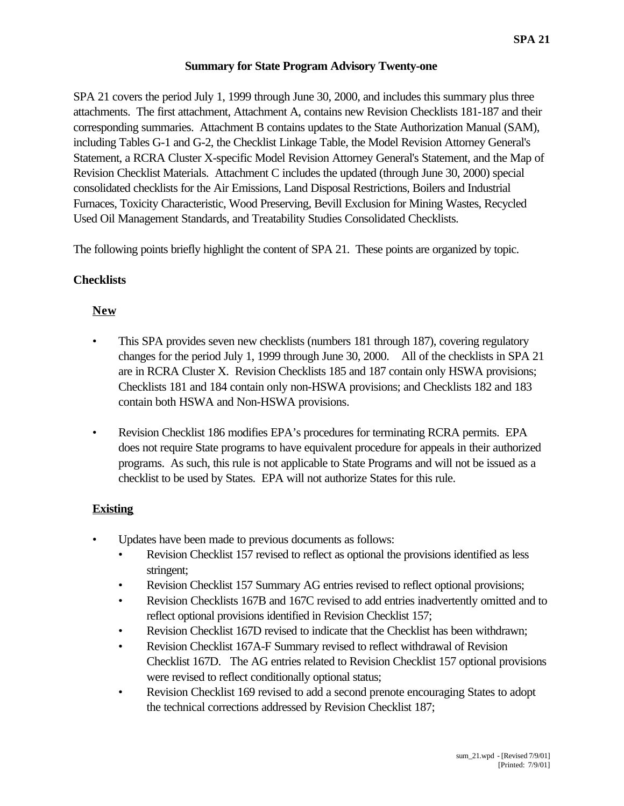### **Summary for State Program Advisory Twenty-one**

SPA 21 covers the period July 1, 1999 through June 30, 2000, and includes this summary plus three attachments. The first attachment, Attachment A, contains new Revision Checklists 181-187 and their corresponding summaries. Attachment B contains updates to the State Authorization Manual (SAM), including Tables G-1 and G-2, the Checklist Linkage Table, the Model Revision Attorney General's Statement, a RCRA Cluster X-specific Model Revision Attorney General's Statement, and the Map of Revision Checklist Materials. Attachment C includes the updated (through June 30, 2000) special consolidated checklists for the Air Emissions, Land Disposal Restrictions, Boilers and Industrial Furnaces, Toxicity Characteristic, Wood Preserving, Bevill Exclusion for Mining Wastes, Recycled Used Oil Management Standards, and Treatability Studies Consolidated Checklists.

The following points briefly highlight the content of SPA 21. These points are organized by topic.

## **Checklists**

## **New**

- This SPA provides seven new checklists (numbers 181 through 187), covering regulatory changes for the period July 1, 1999 through June 30, 2000. All of the checklists in SPA 21 are in RCRA Cluster X. Revision Checklists 185 and 187 contain only HSWA provisions; Checklists 181 and 184 contain only non-HSWA provisions; and Checklists 182 and 183 contain both HSWA and Non-HSWA provisions.
- Revision Checklist 186 modifies EPA's procedures for terminating RCRA permits. EPA does not require State programs to have equivalent procedure for appeals in their authorized programs. As such, this rule is not applicable to State Programs and will not be issued as a checklist to be used by States. EPA will not authorize States for this rule.

# **Existing**

- Updates have been made to previous documents as follows:
	- Revision Checklist 157 revised to reflect as optional the provisions identified as less stringent;
	- Revision Checklist 157 Summary AG entries revised to reflect optional provisions;
	- Revision Checklists 167B and 167C revised to add entries inadvertently omitted and to reflect optional provisions identified in Revision Checklist 157;
	- Revision Checklist 167D revised to indicate that the Checklist has been withdrawn;
	- Revision Checklist 167A-F Summary revised to reflect withdrawal of Revision Checklist 167D. The AG entries related to Revision Checklist 157 optional provisions were revised to reflect conditionally optional status;
	- Revision Checklist 169 revised to add a second prenote encouraging States to adopt the technical corrections addressed by Revision Checklist 187;